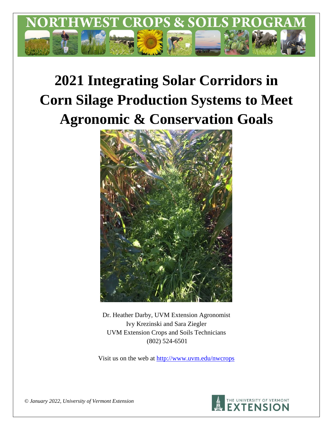

# **2021 Integrating Solar Corridors in Corn Silage Production Systems to Meet Agronomic & Conservation Goals**



Dr. Heather Darby, UVM Extension Agronomist Ivy Krezinski and Sara Ziegler UVM Extension Crops and Soils Technicians (802) 524-6501

Visit us on the web at <http://www.uvm.edu/nwcrops>



*© January 2022, University of Vermont Extension*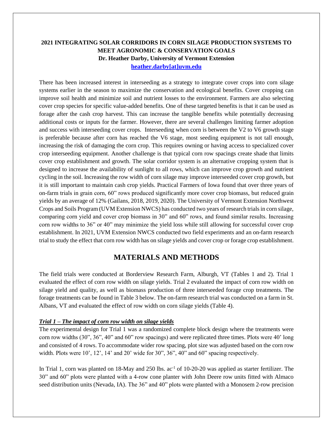# **2021 INTEGRATING SOLAR CORRIDORS IN CORN SILAGE PRODUCTION SYSTEMS TO MEET AGRONOMIC & CONSERVATION GOALS Dr. Heather Darby, University of Vermont Extension [heather.darby\[at\]uvm.edu](mailto:heather.darby@uvm.edu?subject=2013%20Long%20Season%20Corn%20Report)**

There has been increased interest in interseeding as a strategy to integrate cover crops into corn silage systems earlier in the season to maximize the conservation and ecological benefits. Cover cropping can improve soil health and minimize soil and nutrient losses to the environment. Farmers are also selecting cover crop species for specific value-added benefits. One of these targeted benefits is that it can be used as forage after the cash crop harvest. This can increase the tangible benefits while potentially decreasing additional costs or inputs for the farmer. However, there are several challenges limiting farmer adoption and success with interseeding cover crops. Interseeding when corn is between the V2 to V6 growth stage is preferable because after corn has reached the V6 stage, most seeding equipment is not tall enough, increasing the risk of damaging the corn crop. This requires owning or having access to specialized cover crop interseeding equipment. Another challenge is that typical corn row spacings create shade that limits cover crop establishment and growth. The solar corridor system is an alternative cropping system that is designed to increase the availability of sunlight to all rows, which can improve crop growth and nutrient cycling in the soil. Increasing the row width of corn silage may improve interseeded cover crop growth, but it is still important to maintain cash crop yields. Practical Farmers of Iowa found that over three years of on-farm trials in grain corn, 60" rows produced significantly more cover crop biomass, but reduced grain yields by an average of 12% (Gailans, 2018, 2019, 2020). The University of Vermont Extension Northwest Crops and Soils Program (UVM Extension NWCS) has conducted two years of research trials in corn silage, comparing corn yield and cover crop biomass in 30" and 60" rows, and found similar results. Increasing corn row widths to 36" or 40" may minimize the yield loss while still allowing for successful cover crop establishment. In 2021, UVM Extension NWCS conducted two field experiments and an on-farm research trial to study the effect that corn row width has on silage yields and cover crop or forage crop establishment.

# **MATERIALS AND METHODS**

The field trials were conducted at Borderview Research Farm, Alburgh, VT (Tables 1 and 2). Trial 1 evaluated the effect of corn row width on silage yields. Trial 2 evaluated the impact of corn row width on silage yield and quality, as well as biomass production of three interseeded forage crop treatments. The forage treatments can be found in Table 3 below. The on-farm research trial was conducted on a farm in St. Albans, VT and evaluated the effect of row width on corn silage yields (Table 4).

## *Trial 1 – The impact of corn row width on silage yields*

The experimental design for Trial 1 was a randomized complete block design where the treatments were corn row widths (30", 36", 40" and 60" row spacings) and were replicated three times. Plots were 40' long and consisted of 4 rows. To accommodate wider row spacing, plot size was adjusted based on the corn row width. Plots were  $10'$ ,  $12'$ ,  $14'$  and  $20'$  wide for  $30''$ ,  $36''$ ,  $40''$  and  $60''$  spacing respectively.

In Trial 1, corn was planted on 18-May and 250 lbs. ac<sup>-1</sup> of 10-20-20 was applied as starter fertilizer. The 30" and 60" plots were planted with a 4-row cone planter with John Deere row units fitted with Almaco seed distribution units (Nevada, IA). The 36" and 40" plots were planted with a Monosem 2-row precision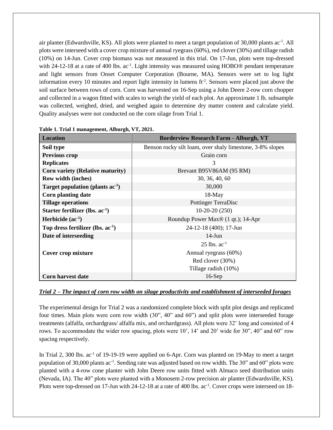air planter (Edwardsville, KS). All plots were planted to meet a target population of 30,000 plants ac<sup>-1</sup>. All plots were interseed with a cover crop mixture of annual ryegrass (60%), red clover (30%) and tillage radish (10%) on 14-Jun. Cover crop biomass was not measured in this trial. On 17-Jun, plots were top-dressed with 24-12-18 at a rate of 400 lbs. ac<sup>-1</sup>. Light intensity was measured using HOBO® pendant temperature and light sensors from Onset Computer Corporation (Bourne, MA). Sensors were set to log light information every 10 minutes and report light intensity in lumens  $\text{ft}^2$ . Sensors were placed just above the soil surface between rows of corn. Corn was harvested on 16-Sep using a John Deere 2-row corn chopper and collected in a wagon fitted with scales to weigh the yield of each plot. An approximate 1 lb. subsample was collected, weighed, dried, and weighed again to determine dry matter content and calculate yield. Quality analyses were not conducted on the corn silage from Trial 1.

| <b>Location</b>                       | <b>Borderview Research Farm - Alburgh, VT</b>             |  |  |  |  |
|---------------------------------------|-----------------------------------------------------------|--|--|--|--|
| Soil type                             | Benson rocky silt loam, over shaly limestone, 3-8% slopes |  |  |  |  |
| <b>Previous crop</b>                  | Grain corn                                                |  |  |  |  |
| <b>Replicates</b>                     | 3                                                         |  |  |  |  |
| Corn variety (Relative maturity)      | Brevant B95V86AM (95 RM)                                  |  |  |  |  |
| Row width (inches)                    | 30, 36, 40, 60                                            |  |  |  |  |
| Target population (plants $ac^{-1}$ ) | 30,000                                                    |  |  |  |  |
| <b>Corn planting date</b>             | $18-May$                                                  |  |  |  |  |
| <b>Tillage operations</b>             | <b>Pottinger TerraDisc</b>                                |  |  |  |  |
| Starter fertilizer (lbs. $ac^{-1}$ )  | $10-20-20(250)$                                           |  |  |  |  |
| Herbicide $(ac^{-1})$                 | Roundup Power Max® (1 qt.); 14-Apr                        |  |  |  |  |
| Top dress fertilizer (lbs. $ac-1$ )   | 24-12-18 (400); 17-Jun                                    |  |  |  |  |
| Date of interseeding                  | $14-J$ un                                                 |  |  |  |  |
|                                       | $25$ lbs. $ac^{-1}$                                       |  |  |  |  |
| Cover crop mixture                    | Annual ryegrass (60%)                                     |  |  |  |  |
|                                       | Red clover (30%)                                          |  |  |  |  |
|                                       | Tillage radish (10%)                                      |  |  |  |  |
| Corn harvest date                     | $16-Sep$                                                  |  |  |  |  |

**Table 1. Trial 1 management, Alburgh, VT, 2021.**

# *Trial 2 – The impact of corn row width on silage productivity and establishment of interseeded forages*

The experimental design for Trial 2 was a randomized complete block with split plot design and replicated four times. Main plots were corn row width (30", 40" and 60") and split plots were interseeded forage treatments (alfalfa, orchardgrass/ alfalfa mix, and orchardgrass). All plots were 32' long and consisted of 4 rows. To accommodate the wider row spacing, plots were 10', 14' and 20' wide for 30", 40" and 60" row spacing respectively.

In Trial 2, 300 lbs. ac<sup>-1</sup> of 19-19-19 were applied on 6-Apr. Corn was planted on 19-May to meet a target population of 30,000 plants ac<sup>-1</sup>. Seeding rate was adjusted based on row width. The 30" and 60" plots were planted with a 4-row cone planter with John Deere row units fitted with Almaco seed distribution units (Nevada, IA). The 40" plots were planted with a Monosem 2-row precision air planter (Edwardsville, KS). Plots were top-dressed on 17-Jun with 24-12-18 at a rate of 400 lbs. ac<sup>-1</sup>. Cover crops were interseed on 18-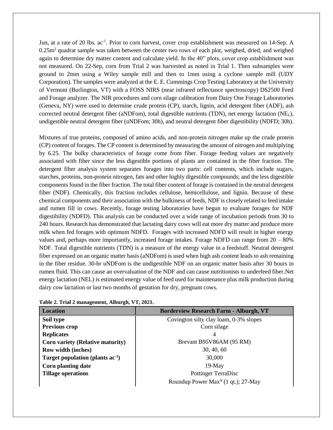Jun, at a rate of 20 lbs. ac<sup>-1</sup>. Prior to corn harvest, cover crop establishment was measured on 14-Sep. A  $0.25m<sup>2</sup>$  quadrat sample was taken between the center two rows of each plot, weighed, dried, and weighed again to determine dry matter content and calculate yield. In the 40" plots, cover crop establishment was not measured. On 22-Sep, corn from Trial 2 was harvested as noted in Trial 1. Then subsamples were ground to 2mm using a Wiley sample mill and then to 1mm using a cyclone sample mill (UDY Corporation). The samples were analyzed at the E. E. Cummings Crop Testing Laboratory at the University of Vermont (Burlington, VT) with a FOSS NIRS (near infrared reflectance spectroscopy) DS2500 Feed and Forage analyzer. The NIR procedures and corn silage calibration from Dairy One Forage Laboratories (Geneva, NY) were used to determine crude protein (CP), starch, lignin, acid detergent fiber (ADF), ash corrected neutral detergent fiber (aNDFom), total digestible nutrients (TDN), net energy lactation (NEL), undigestible neutral detergent fiber (uNDFom; 30h), and neutral detergent fiber digestibility (NDFD; 30h).

Mixtures of true proteins, composed of amino acids, and non-protein nitrogen make up the crude protein (CP) content of forages. The CP content is determined by measuring the amount of nitrogen and multiplying by 6.25. The bulky characteristics of forage come from fiber. Forage feeding values are negatively associated with fiber since the less digestible portions of plants are contained in the fiber fraction. The detergent fiber analysis system separates forages into two parts: cell contents, which include sugars, starches, proteins, non-protein nitrogen, fats and other highly digestible compounds; and the less digestible components found in the fiber fraction. The total fiber content of forage is contained in the neutral detergent fiber (NDF). Chemically, this fraction includes cellulose, hemicellulose, and lignin. Because of these chemical components and their association with the bulkiness of feeds, NDF is closely related to feed intake and rumen fill in cows. Recently, forage testing laboratories have begun to evaluate forages for NDF digestibility (NDFD). This analysis can be conducted over a wide range of incubation periods from 30 to 240 hours. Research has demonstrated that lactating dairy cows will eat more dry matter and produce more milk when fed forages with optimum NDFD. Forages with increased NDFD will result in higher energy values and, perhaps more importantly, increased forage intakes. Forage NDFD can range from  $20 - 80\%$ NDF. Total digestible nutrients (TDN) is a measure of the energy value in a feedstuff. Neutral detergent fiber expressed on an organic matter basis (aNDFom) is used when high ash content leads to ash remaining in the fiber residue. 30-hr uNDFom is the undigestible NDF on an organic matter basis after 30 hours in rumen fluid. This can cause an overvaluation of the NDF and can cause nutritionists to underfeed fiber.Net energy lactation (NEL) is estimated energy value of feed used for maintenance plus milk production during dairy cow lactation or last two months of gestation for dry, pregnant cows.

| <b>Location</b>                       | <b>Borderview Research Farm - Alburgh, VT</b>             |
|---------------------------------------|-----------------------------------------------------------|
| Soil type                             | Covington silty clay loam, 0-3% slopes                    |
| Previous crop                         | Corn silage                                               |
| <b>Replicates</b>                     |                                                           |
| Corn variety (Relative maturity)      | Brevant B95V86AM (95 RM)                                  |
| Row width (inches)                    | 30, 40, 60                                                |
| Target population (plants $ac^{-1}$ ) | 30,000                                                    |
| <b>Corn planting date</b>             | $19-May$                                                  |
| <b>Tillage operations</b>             | <b>Pottinger TerraDisc</b>                                |
|                                       | Roundup Power $Max^{\circledast}(1 \text{ qt.}); 27$ -May |

| Table 2. Trial 2 management, Alburgh, VT, 2021. |  |  |  |  |
|-------------------------------------------------|--|--|--|--|
|-------------------------------------------------|--|--|--|--|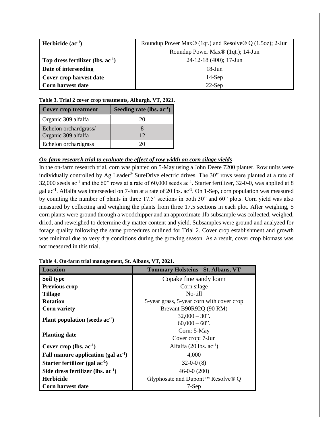| Herbicide $(ac-1)$                     | Roundup Power Max® (1qt.) and Resolve® Q (1.5oz); 2-Jun |
|----------------------------------------|---------------------------------------------------------|
|                                        | Roundup Power Max <sup>®</sup> (1qt.); 14-Jun           |
| Top dress fertilizer (lbs. $ac^{-1}$ ) | $24-12-18$ (400); 17-Jun                                |
| Date of interseeding                   | $18$ -Jun                                               |
| Cover crop harvest date                | $14-Sep$                                                |
| <b>Corn harvest date</b>               | $22-Sep$                                                |

**Table 3. Trial 2 cover crop treatments, Alburgh, VT, 2021.**

| <b>Cover crop treatment</b> | Seeding rate (lbs. $ac^{-1}$ ) |
|-----------------------------|--------------------------------|
| Organic 309 alfalfa         |                                |
| Echelon orchardgrass/       |                                |
| Organic 309 alfalfa         | 12                             |
| Echelon orchardgrass        |                                |

# *On-farm research trial to evaluate the effect of row width on corn silage yields*

In the on-farm research trial, corn was planted on 5-May using a John Deere 7200 planter. Row units were individually controlled by Ag Leader® SureDrive electric drives. The 30" rows were planted at a rate of 32,000 seeds ac<sup>-1</sup> and the 60" rows at a rate of 60,000 seeds ac<sup>-1</sup>. Starter fertilizer, 32-0-0, was applied at 8 gal ac<sup>-1</sup>. Alfalfa was interseeded on 7-Jun at a rate of 20 lbs. ac<sup>-1</sup>. On 1-Sep, corn population was measured by counting the number of plants in three 17.5' sections in both 30" and 60" plots. Corn yield was also measured by collecting and weighing the plants from three 17.5 sections in each plot. After weighing, 5 corn plants were ground through a woodchipper and an approximate 1lb subsample was collected, weighed, dried, and reweighed to determine dry matter content and yield. Subsamples were ground and analyzed for forage quality following the same procedures outlined for Trial 2. Cover crop establishment and growth was minimal due to very dry conditions during the growing season. As a result, cover crop biomass was not measured in this trial.

| <b>Location</b>                          | <b>Tommary Holsteins - St. Albans, VT</b>                  |  |  |  |  |
|------------------------------------------|------------------------------------------------------------|--|--|--|--|
| Soil type                                | Copake fine sandy loam                                     |  |  |  |  |
| <b>Previous crop</b>                     | Corn silage                                                |  |  |  |  |
| <b>Tillage</b>                           | No-till                                                    |  |  |  |  |
| <b>Rotation</b>                          | 5-year grass, 5-year corn with cover crop                  |  |  |  |  |
| <b>Corn variety</b>                      | Brevant B90R92Q (90 RM)                                    |  |  |  |  |
|                                          | $32,000 - 30$ ".                                           |  |  |  |  |
| Plant population (seeds $ac^{-1}$ )      | $60,000 - 60$ ".                                           |  |  |  |  |
|                                          | Corn: 5-May                                                |  |  |  |  |
| <b>Planting date</b>                     | Cover crop: 7-Jun                                          |  |  |  |  |
| Cover crop (lbs. $ac^{-1}$ )             | Alfalfa $(20 \text{ lbs. } ac^{-1})$                       |  |  |  |  |
| Fall manure application (gal $ac^{-1}$ ) | 4.000                                                      |  |  |  |  |
| Starter fertilizer (gal $ac^{-1}$ )      | $32-0-0(8)$                                                |  |  |  |  |
| Side dress fertilizer (lbs. $ac-1$ )     | $46-0-0(200)$                                              |  |  |  |  |
| <b>Herbicide</b>                         | Glyphosate and Dupont <sup>TM</sup> Resolve <sup>®</sup> Q |  |  |  |  |
| Corn harvest date                        | 7-Sep                                                      |  |  |  |  |

**Table 4. On-farm trial management, St. Albans, VT, 2021.**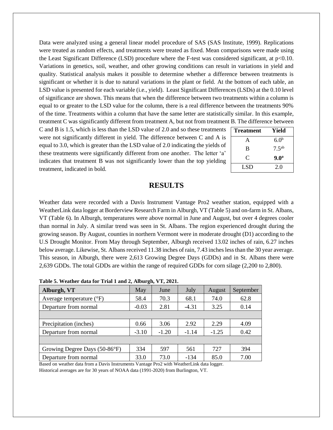Data were analyzed using a general linear model procedure of SAS (SAS Institute, 1999). Replications were treated as random effects, and treatments were treated as fixed. Mean comparisons were made using the Least Significant Difference (LSD) procedure where the F-test was considered significant, at p<0.10. Variations in genetics, soil, weather, and other growing conditions can result in variations in yield and quality. Statistical analysis makes it possible to determine whether a difference between treatments is significant or whether it is due to natural variations in the plant or field. At the bottom of each table, an LSD value is presented for each variable (i.e., yield). Least Significant Differences (LSDs) at the 0.10 level of significance are shown. This means that when the difference between two treatments within a column is equal to or greater to the LSD value for the column, there is a real difference between the treatments 90% of the time. Treatments within a column that have the same letter are statistically similar. In this example, treatment C was significantly different from treatment A, but not from treatment B. The difference between

C and B is 1.5, which is less than the LSD value of 2.0 and so these treatments were not significantly different in yield. The difference between C and A is equal to 3.0, which is greater than the LSD value of 2.0 indicating the yields of these treatments were significantly different from one another. The letter 'a' indicates that treatment B was not significantly lower than the top yielding treatment, indicated in bold.

| <b>Treatment</b> | Yield             |
|------------------|-------------------|
| A                | 6.0 <sup>b</sup>  |
| B                | 7.5 <sup>ab</sup> |
| C                | 9.0 <sup>a</sup>  |
| LSD.             | 2.0               |

# **RESULTS**

Weather data were recorded with a Davis Instrument Vantage Pro2 weather station, equipped with a WeatherLink data logger at Borderview Research Farm in Alburgh, VT (Table 5) and on-farm in St. Albans, VT (Table 6). In Alburgh, temperatures were above normal in June and August, but over 4 degrees cooler than normal in July. A similar trend was seen in St. Albans. The region experienced drought during the growing season. By August, counties in northern Vermont were in moderate drought (D1) according to the U.S Drought Monitor. From May through September, Alburgh received 13.02 inches of rain, 6.27 inches below average. Likewise, St. Albans received 11.38 inches of rain, 7.43 inches less than the 30 year average. This season, in Alburgh, there were 2,613 Growing Degree Days (GDDs) and in St. Albans there were 2,639 GDDs. The total GDDs are within the range of required GDDs for corn silage (2,200 to 2,800).

| Alburgh, VT                       | May<br>June |         | July    | August  | September |  |  |  |
|-----------------------------------|-------------|---------|---------|---------|-----------|--|--|--|
| Average temperature $(^{\circ}F)$ | 58.4        | 70.3    | 68.1    | 74.0    | 62.8      |  |  |  |
| Departure from normal             | $-0.03$     | 2.81    | $-4.31$ | 3.25    | 0.14      |  |  |  |
|                                   |             |         |         |         |           |  |  |  |
| Precipitation (inches)            | 0.66        | 3.06    | 2.92    | 2.29    | 4.09      |  |  |  |
| Departure from normal             | $-3.10$     | $-1.20$ | $-1.14$ | $-1.25$ | 0.42      |  |  |  |
|                                   |             |         |         |         |           |  |  |  |
| Growing Degree Days (50-86°F)     | 334         | 597     | 561     | 727     | 394       |  |  |  |
| Departure from normal             | 33.0        | 73.0    | $-134$  | 85.0    | 7.00      |  |  |  |

**Table 5. Weather data for Trial 1 and 2, Alburgh, VT, 2021.**

Based on weather data from a Davis Instruments Vantage Pro2 with WeatherLink data logger.

Historical averages are for 30 years of NOAA data (1991-2020) from Burlington, VT.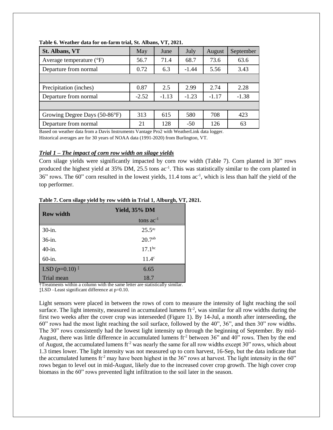| <b>St. Albans, VT</b>             | May     | June    | July    | August          | September |  |
|-----------------------------------|---------|---------|---------|-----------------|-----------|--|
| Average temperature $(^{\circ}F)$ | 56.7    | 71.4    | 68.7    | 73.6            | 63.6      |  |
| Departure from normal             | 0.72    | 6.3     |         | $-1.44$<br>5.56 |           |  |
|                                   |         |         |         |                 |           |  |
| Precipitation (inches)            | 0.87    | 2.5     | 2.99    | 2.74            | 2.28      |  |
| Departure from normal             | $-2.52$ | $-1.13$ | $-1.23$ | $-1.17$         | $-1.38$   |  |
|                                   |         |         |         |                 |           |  |
| Growing Degree Days (50-86°F)     | 313     | 615     | 580     | 708             | 423       |  |
| Departure from normal             | 21      | 128     | $-50$   | 126             | 63        |  |

**Table 6. Weather data for on-farm trial, St. Albans, VT, 2021.**

Based on weather data from a Davis Instruments Vantage Pro2 with WeatherLink data logger.

Historical averages are for 30 years of NOAA data (1991-2020) from Burlington, VT.

## *Trial 1 – The impact of corn row width on silage yields*

Corn silage yields were significantly impacted by corn row width (Table 7). Corn planted in 30" rows produced the highest yield at 35% DM, 25.5 tons ac<sup>-1</sup>. This was statistically similar to the corn planted in 36" rows. The 60" corn resulted in the lowest yields, 11.4 tons ac-1 , which is less than half the yield of the top performer.

| <b>Row width</b> | Yield, 35% DM      |  |  |  |  |
|------------------|--------------------|--|--|--|--|
|                  | tons $ac^{-1}$     |  |  |  |  |
| 30-in.           | $25.5^{a\dagger}$  |  |  |  |  |
| 36-in.           | 20.7 <sup>ab</sup> |  |  |  |  |
| 40-in.           | $17.1^{bc}$        |  |  |  |  |
| 60-in.           | $11.4^\circ$       |  |  |  |  |
| LSD $(p=0.10)^*$ | 6.65               |  |  |  |  |
| Trial mean       | 18.7               |  |  |  |  |

#### **Table 7. Corn silage yield by row width in Trial 1, Alburgh, VT, 2021.**

†Treatments within a column with the same letter are statistically similar.

‡LSD –Least significant difference at p=0.10.

Light sensors were placed in between the rows of corn to measure the intensity of light reaching the soil surface. The light intensity, measured in accumulated lumens  $ft^2$ , was similar for all row widths during the first two weeks after the cover crop was interseeded (Figure 1). By 14-Jul, a month after interseeding, the 60" rows had the most light reaching the soil surface, followed by the 40", 36", and then 30" row widths. The 30" rows consistently had the lowest light intensity up through the beginning of September. By mid-August, there was little difference in accumulated lumens  $ft<sup>2</sup>$  between 36" and 40" rows. Then by the end of August, the accumulated lumens  $ft<sup>2</sup>$  was nearly the same for all row widths except 30" rows, which about 1.3 times lower. The light intensity was not measured up to corn harvest, 16-Sep, but the data indicate that the accumulated lumens ft<sup>-2</sup> may have been highest in the 36" rows at harvest. The light intensity in the 60" rows began to level out in mid-August, likely due to the increased cover crop growth. The high cover crop biomass in the 60" rows prevented light infiltration to the soil later in the season.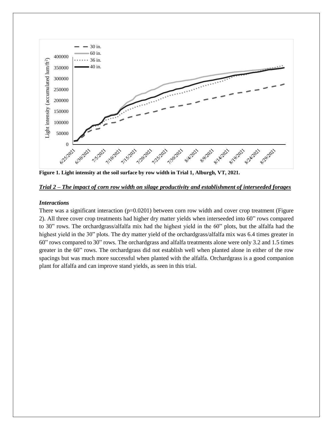

**Figure 1. Light intensity at the soil surface by row width in Trial 1, Alburgh, VT, 2021.**

## *Trial 2 – The impact of corn row width on silage productivity and establishment of interseeded forages*

#### *Interactions*

There was a significant interaction  $(p=0.0201)$  between corn row width and cover crop treatment (Figure 2). All three cover crop treatments had higher dry matter yields when interseeded into 60" rows compared to 30" rows. The orchardgrass/alfalfa mix had the highest yield in the 60" plots, but the alfalfa had the highest yield in the 30" plots. The dry matter yield of the orchardgrass/alfalfa mix was 6.4 times greater in 60" rows compared to 30" rows. The orchardgrass and alfalfa treatments alone were only 3.2 and 1.5 times greater in the 60" rows. The orchardgrass did not establish well when planted alone in either of the row spacings but was much more successful when planted with the alfalfa. Orchardgrass is a good companion plant for alfalfa and can improve stand yields, as seen in this trial.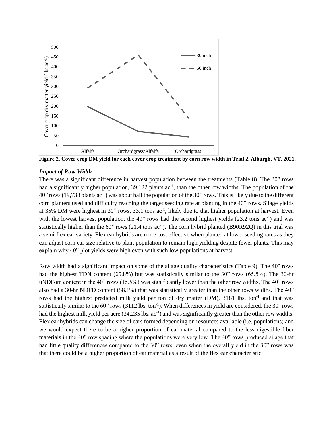

**Figure 2. Cover crop DM yield for each cover crop treatment by corn row width in Trial 2, Alburgh, VT, 2021.**

#### *Impact of Row Width*

There was a significant difference in harvest population between the treatments (Table 8). The 30" rows had a significantly higher population,  $39,122$  plants  $ac^{-1}$ , than the other row widths. The population of the 40" rows (19,738 plants ac<sup>-1</sup>) was about half the population of the 30" rows. This is likely due to the different corn planters used and difficulty reaching the target seeding rate at planting in the 40" rows. Silage yields at 35% DM were highest in 30" rows, 33.1 tons  $ac^{-1}$ , likely due to that higher population at harvest. Even with the lowest harvest population, the  $40$ " rows had the second highest yields  $(23.2 \text{ tons } ac^{-1})$  and was statistically higher than the 60" rows (21.4 tons ac<sup>-1</sup>). The corn hybrid planted (B90R92Q) in this trial was a semi-flex ear variety. Flex ear hybrids are more cost effective when planted at lower seeding rates as they can adjust corn ear size relative to plant population to remain high yielding despite fewer plants. This may explain why 40" plot yields were high even with such low populations at harvest.

Row width had a significant impact on some of the silage quality characteristics (Table 9). The 40" rows had the highest TDN content (65.8%) but was statistically similar to the 30" rows (65.5%). The 30-hr uNDFom content in the 40" rows (15.5%) was significantly lower than the other row widths. The 40" rows also had a 30-hr NDFD content (58.1%) that was statistically greater than the other rows widths. The 40" rows had the highest predicted milk yield per ton of dry matter (DM), 3181 lbs. ton<sup>-1</sup> and that was statistically similar to the 60" rows (3112 lbs. ton<sup>-1</sup>). When differences in yield are considered, the 30" rows had the highest milk yield per acre (34,235 lbs. ac<sup>-1</sup>) and was significantly greater than the other row widths. Flex ear hybrids can change the size of ears formed depending on resources available (i.e. populations) and we would expect there to be a higher proportion of ear material compared to the less digestible fiber materials in the 40" row spacing where the populations were very low. The 40" rows produced silage that had little quality differences compared to the 30" rows, even when the overall yield in the 30" rows was that there could be a higher proportion of ear material as a result of the flex ear characteristic.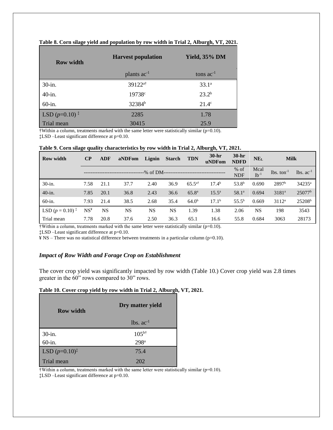| <b>Row width</b>          | <b>Harvest population</b> | <b>Yield, 35% DM</b> |  |  |  |
|---------------------------|---------------------------|----------------------|--|--|--|
|                           | plants ac <sup>-1</sup>   | tons $ac^{-1}$       |  |  |  |
| $30$ -in.                 | 39122 <sup>a†</sup>       | $33.1^a$             |  |  |  |
| $40$ -in.                 | 19738 <sup>c</sup>        | $23.2^{b}$           |  |  |  |
| $60$ -in.                 | 32384 <sup>b</sup>        | $21.4^\circ$         |  |  |  |
| LSD $(p=0.10)^{\ddagger}$ | 2285                      | 1.78                 |  |  |  |
| Trial mean                | 30415                     | 25.9                 |  |  |  |

#### **Table 8. Corn silage yield and population by row width in Trial 2, Alburgh, VT, 2021.**

†Within a column, treatments marked with the same letter were statistically similar (p=0.10). ‡LSD –Least significant difference at p=0.10.

| <b>Row width</b>               | $\bf CP$        | <b>ADF</b> | aNDFom    | Lignin     | <b>Starch</b> | <b>TDN</b>        | $30-hr$<br>uNDFom | $30-hr$<br><b>NDFD</b> | NE <sub>L</sub>   | <b>Milk</b>              |                    |
|--------------------------------|-----------------|------------|-----------|------------|---------------|-------------------|-------------------|------------------------|-------------------|--------------------------|--------------------|
|                                |                 |            |           | --% of DM- |               |                   |                   | $%$ of<br><b>NDF</b>   | Mcal<br>$lb^{-1}$ | $lbs.$ ton <sup>-1</sup> | $lbs. ac-1$        |
| 30-in.                         | 7.58            | 21.1       | 37.7      | 2.40       | 36.9          | $65.5^{a\dagger}$ | $17.4^{\rm b}$    | $53.8^{b}$             | 0.690             | 2897 <sup>b</sup>        | $34235^a$          |
| $40$ -in.                      | 7.85            | 20.1       | 36.8      | 2.43       | 36.6          | $65.8^{a}$        | $15.5^{\rm a}$    | 58.1 <sup>a</sup>      | 0.694             | $3181^a$                 | 25077 <sup>b</sup> |
| $60$ -in.                      | 7.93            | 21.4       | 38.5      | 2.68       | 35.4          | 64.0 <sup>b</sup> | $17.1^{\rm b}$    | $55.5^{b}$             | 0.669             | $3112^a$                 | 25208 <sup>b</sup> |
| LSD $(p = 0.10)^{\frac{1}{4}}$ | NS <sup>Y</sup> | NS         | <b>NS</b> | NS         | <b>NS</b>     | 1.39              | 1.38              | 2.06                   | <b>NS</b>         | 198                      | 3543               |
| Trial mean                     | 7.78            | 20.8       | 37.6      | 2.50       | 36.3          | 65.1              | 16.6              | 55.8                   | 0.684             | 3063                     | 28173              |

**Table 9. Corn silage quality characteristics by row width in Trial 2, Alburgh, VT, 2021.**

 $\dagger$ Within a column, treatments marked with the same letter were statistically similar (p=0.10).

‡LSD –Least significant difference at p=0.10.

 $\angle$  Y NS – There was no statistical difference between treatments in a particular column (p=0.10).

# *Impact of Row Width and Forage Crop on Establishment*

The cover crop yield was significantly impacted by row width (Table 10.) Cover crop yield was 2.8 times greater in the 60" rows compared to 30" rows.

# **Table 10. Cover crop yield by row width in Trial 2, Alburgh, VT, 2021.**

| <b>Row width</b>          | Dry matter yield         |  |  |  |  |
|---------------------------|--------------------------|--|--|--|--|
|                           | $lbs$ . $ac^{-1}$        |  |  |  |  |
| $30$ -in.                 | $105^{\text{b} \dagger}$ |  |  |  |  |
| $60$ -in.                 | 298 <sup>a</sup>         |  |  |  |  |
| LSD $(p=0.10)^{\ddagger}$ | 75.4                     |  |  |  |  |
| Trial mean                | 202                      |  |  |  |  |

 $\dagger$ Within a column, treatments marked with the same letter were statistically similar (p=0.10).

‡LSD –Least significant difference at p=0.10.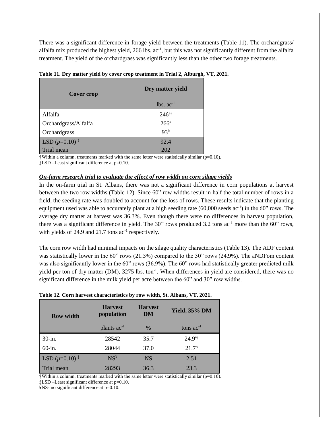There was a significant difference in forage yield between the treatments (Table 11). The orchardgrass/ alfalfa mix produced the highest yield, 266 lbs. ac<sup>-1</sup>, but this was not significantly different from the alfalfa treatment. The yield of the orchardgrass was significantly less than the other two forage treatments.

| <b>Cover crop</b>           | Dry matter yield |  |  |  |  |
|-----------------------------|------------------|--|--|--|--|
|                             | $lbs. ac^{-1}$   |  |  |  |  |
| Alfalfa                     | $246^{a}$ †      |  |  |  |  |
| Orchardgrass/Alfalfa        | $266^a$          |  |  |  |  |
| Orchardgrass                | 93 <sup>b</sup>  |  |  |  |  |
| LSD $(p=0.10)$ <sup>‡</sup> | 92.4             |  |  |  |  |
| Trial mean                  | 202              |  |  |  |  |

**Table 11. Dry matter yield by cover crop treatment in Trial 2, Alburgh, VT, 2021.**

†Within a column, treatments marked with the same letter were statistically similar (p=0.10). ‡LSD –Least significant difference at p=0.10.

## *On-farm research trial to evaluate the effect of row width on corn silage yields*

In the on-farm trial in St. Albans, there was not a significant difference in corn populations at harvest between the two row widths (Table 12). Since 60" row widths result in half the total number of rows in a field, the seeding rate was doubled to account for the loss of rows. These results indicate that the planting equipment used was able to accurately plant at a high seeding rate (60,000 seeds ac<sup>-1</sup>) in the 60" rows. The average dry matter at harvest was 36.3%. Even though there were no differences in harvest population, there was a significant difference in yield. The 30" rows produced 3.2 tons ac<sup>-1</sup> more than the 60" rows, with yields of 24.9 and 21.7 tons  $ac^{-1}$  respectively.

The corn row width had minimal impacts on the silage quality characteristics (Table 13). The ADF content was statistically lower in the 60" rows (21.3%) compared to the 30" rows (24.9%). The aNDFom content was also significantly lower in the 60" rows (36.9%). The 60" rows had statistically greater predicted milk yield per ton of dry matter (DM), 3275 lbs. ton<sup>-1</sup>. When differences in yield are considered, there was no significant difference in the milk yield per acre between the 60" and 30" row widths.

| <b>Row width</b> | <b>Harvest</b><br>population | <b>Harvest</b><br>DM | <b>Yield, 35% DM</b> |  |  |
|------------------|------------------------------|----------------------|----------------------|--|--|
|                  | plants ac <sup>-1</sup>      | $\%$                 | tons $ac^{-1}$       |  |  |
| $30$ -in.        | 28542                        | 35.7                 | $24.9^{a}$ †         |  |  |
| $60$ -in.        | 28044                        | 37.0                 | 21.7 <sup>b</sup>    |  |  |
| LSD $(p=0.10)^*$ | NS <sup>¥</sup>              | <b>NS</b>            | 2.51                 |  |  |
| Trial mean       | 28293                        | 36.3                 | 23.3                 |  |  |

## **Table 12. Corn harvest characteristics by row width, St. Albans, VT, 2021.**

 $\dagger$ Within a column, treatments marked with the same letter were statistically similar ( $p=0.10$ ). ‡LSD –Least significant difference at p=0.10.

¥NS- no significant difference at p=0.10.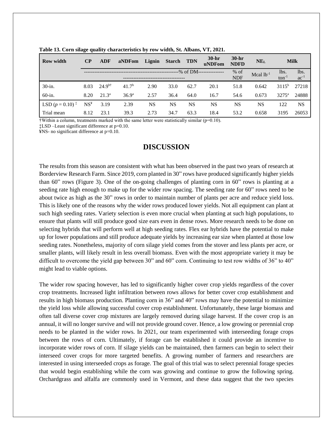| <b>Row width</b>     | $\bf CP$             | ADF               | aNDFom            | Lignin    | Starch TDN |           | $30-hr$<br>uNDFom    | $30-hr$<br><b>NDFD</b> | NE <sub>L</sub> | <b>Milk</b>       |           |
|----------------------|----------------------|-------------------|-------------------|-----------|------------|-----------|----------------------|------------------------|-----------------|-------------------|-----------|
|                      | ----------% of DM--- |                   |                   |           |            |           | $%$ of<br><b>NDF</b> | Mcal $lb^{-1}$         | lbs.<br>$ton-1$ | lbs.<br>$ac^{-1}$ |           |
| $30$ -in.            | 8.03                 | $24.9^{b\dagger}$ | 41.7 <sup>b</sup> | 2.90      | 33.0       | 62.7      | 20.1                 | 51.8                   | 0.642           | $3115^{b}$        | 27218     |
| $60$ -in.            | 8.20                 | $21.3^{\circ}$    | 36.9 <sup>a</sup> | 2.57      | 36.4       | 64.0      | 16.7                 | 54.6                   | 0.673           | $3275^{\circ}$    | 24888     |
| LSD $(p = 0.10)^{+}$ | $NS^*$               | 3.19              | 2.39              | <b>NS</b> | <b>NS</b>  | <b>NS</b> | NS                   | <b>NS</b>              | <b>NS</b>       | 122               | <b>NS</b> |
| Trial mean           | 8.12                 | 23.1              | 39.3              | 2.73      | 34.7       | 63.3      | 18.4                 | 53.2                   | 0.658           | 3195              | 26053     |

**Table 13. Corn silage quality characteristics by row width, St. Albans, VT, 2021.**

 $\dagger$ Within a column, treatments marked with the same letter were statistically similar ( $p=0.10$ ).

‡LSD –Least significant difference at p=0.10.

¥NS- no significant difference at p=0.10.

# **DISCUSSION**

The results from this season are consistent with what has been observed in the past two years of research at Borderview Research Farm. Since 2019, corn planted in 30" rows have produced significantly higher yields than 60" rows (Figure 3). One of the on-going challenges of planting corn in 60" rows is planting at a seeding rate high enough to make up for the wider row spacing. The seeding rate for 60" rows need to be about twice as high as the 30" rows in order to maintain number of plants per acre and reduce yield loss. This is likely one of the reasons why the wider rows produced lower yields. Not all equipment can plant at such high seeding rates. Variety selection is even more crucial when planting at such high populations, to ensure that plants will still produce good size ears even in dense rows. More research needs to be done on selecting hybrids that will perform well at high seeding rates. Flex ear hybrids have the potential to make up for lower populations and still produce adequate yields by increasing ear size when planted at those low seeding rates. Nonetheless, majority of corn silage yield comes from the stover and less plants per acre, or smaller plants, will likely result in less overall biomass. Even with the most appropriate variety it may be difficult to overcome the yield gap between 30" and 60" corn. Continuing to test row widths of 36" to 40" might lead to viable options.

The wider row spacing however, has led to significantly higher cover crop yields regardless of the cover crop treatments. Increased light infiltration between rows allows for better cover crop establishment and results in high biomass production. Planting corn in 36" and 40" rows may have the potential to minimize the yield loss while allowing successful cover crop establishment. Unfortunately, these large biomass and often tall diverse cover crop mixtures are largely removed during silage harvest. If the cover crop is an annual, it will no longer survive and will not provide ground cover. Hence, a low growing or perennial crop needs to be planted in the wider rows. In 2021, our team experimented with interseeding forage crops between the rows of corn. Ultimately, if forage can be established it could provide an incentive to incorporate wider rows of corn. If silage yields can be maintained, then farmers can begin to select their interseed cover crops for more targeted benefits. A growing number of farmers and researchers are interested in using interseeded crops as forage. The goal of this trial was to select perennial forage species that would begin establishing while the corn was growing and continue to grow the following spring. Orchardgrass and alfalfa are commonly used in Vermont, and these data suggest that the two species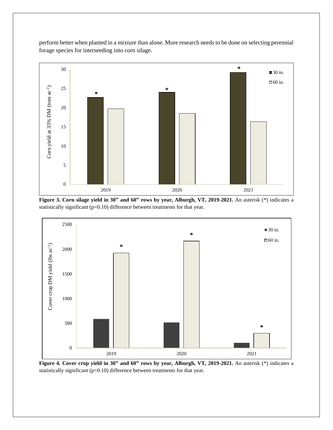perform better when planted in a mixture than alone. More research needs to be done on selecting perennial forage species for interseeding into corn silage.



**Figure 3. Corn silage yield in 30" and 60" rows by year, Alburgh, VT, 2019-2021.** An asterisk (\*) indicates a statistically significant (p=0.10) difference between treatments for that year.



**Figure 4. Cover crop yield in 30" and 60" rows by year, Alburgh, VT, 2019-2021.** An asterisk (\*) indicates a statistically significant (p=0.10) difference between treatments for that year.